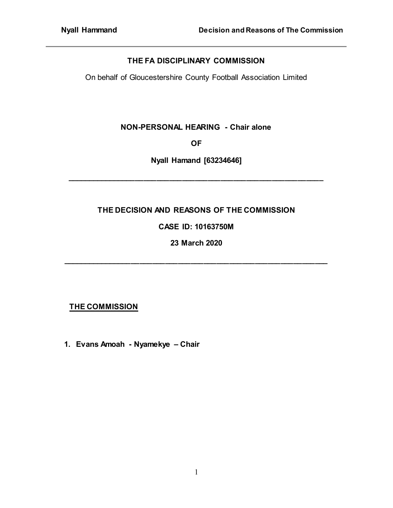## **THE FA DISCIPLINARY COMMISSION**

On behalf of Gloucestershire County Football Association Limited

### **NON-PERSONAL HEARING - Chair alone**

**OF**

**Nyall Hamand [63234646]**

**\_\_\_\_\_\_\_\_\_\_\_\_\_\_\_\_\_\_\_\_\_\_\_\_\_\_\_\_\_\_\_\_\_\_\_\_\_\_\_\_\_\_\_\_\_\_\_\_\_\_\_\_\_\_\_\_\_\_\_\_**

## **THE DECISION AND REASONS OF THE COMMISSION**

# **CASE ID: 10163750M**

**23 March 2020**

**\_\_\_\_\_\_\_\_\_\_\_\_\_\_\_\_\_\_\_\_\_\_\_\_\_\_\_\_\_\_\_\_\_\_\_\_\_\_\_\_\_\_\_\_\_\_\_\_\_\_\_\_\_\_\_\_\_\_\_\_\_\_**

## **THE COMMISSION**

**1. Evans Amoah - Nyamekye – Chair**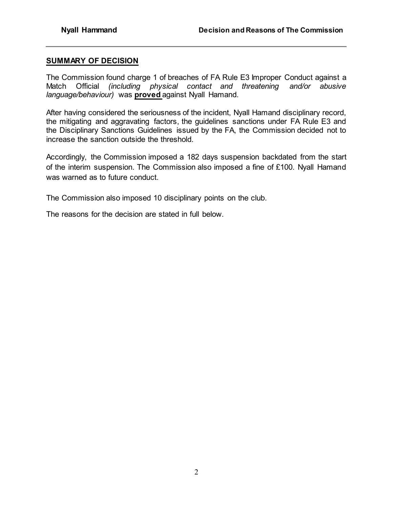#### **SUMMARY OF DECISION**

The Commission found charge 1 of breaches of FA Rule E3 Improper Conduct against a Match Official *(including physical contact and threatening and/or abusive language/behaviour)* was **proved** against Nyall Hamand.

After having considered the seriousness of the incident, Nyall Hamand disciplinary record, the mitigating and aggravating factors, the guidelines sanctions under FA Rule E3 and the Disciplinary Sanctions Guidelines issued by the FA, the Commission decided not to increase the sanction outside the threshold.

Accordingly, the Commission imposed a 182 days suspension backdated from the start of the interim suspension. The Commission also imposed a fine of £100. Nyall Hamand was warned as to future conduct.

The Commission also imposed 10 disciplinary points on the club.

The reasons for the decision are stated in full below.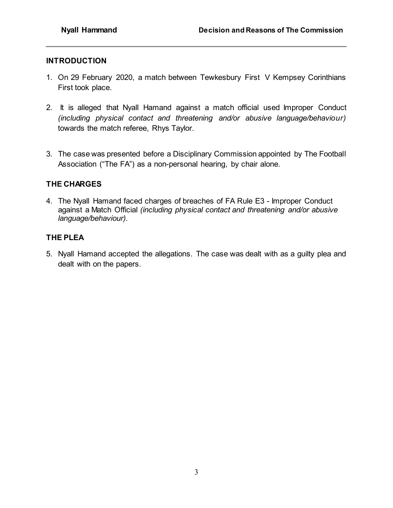## **INTRODUCTION**

- 1. On 29 February 2020, a match between Tewkesbury First V Kempsey Corinthians First took place.
- 2. It is alleged that Nyall Hamand against a match official used Improper Conduct *(including physical contact and threatening and/or abusive language/behaviour)* towards the match referee, Rhys Taylor.
- 3. The case was presented before a Disciplinary Commission appointed by The Football Association ("The FA") as a non-personal hearing, by chair alone.

## **THE CHARGES**

4. The Nyall Hamand faced charges of breaches of FA Rule E3 - Improper Conduct against a Match Official *(including physical contact and threatening and/or abusive language/behaviour).*

## **THE PLEA**

5. Nyall Hamand accepted the allegations. The case was dealt with as a guilty plea and dealt with on the papers.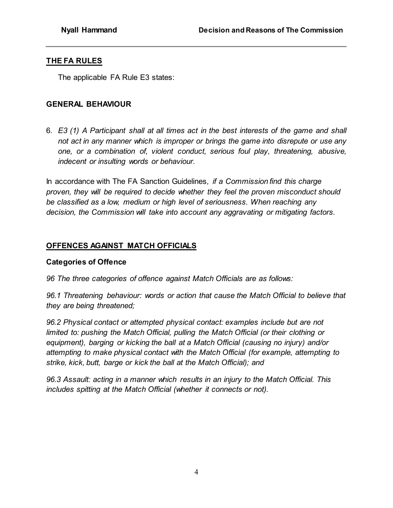## **THE FA RULES**

The applicable FA Rule E3 states:

## **GENERAL BEHAVIOUR**

6. *E3 (1) A Participant shall at all times act in the best interests of the game and shall not act in any manner which is improper or brings the game into disrepute or use any one, or a combination of, violent conduct, serious foul play, threatening, abusive, indecent or insulting words or behaviour.*

In accordance with The FA Sanction Guidelines*, if a Commission find this charge proven, they will be required to decide whether they feel the proven misconduct should be classified as a low, medium or high level of seriousness. When reaching any decision, the Commission will take into account any aggravating or mitigating factors.*

## **OFFENCES AGAINST MATCH OFFICIALS**

### **Categories of Offence**

*96 The three categories of offence against Match Officials are as follows:* 

*96.1 Threatening behaviour: words or action that cause the Match Official to believe that they are being threatened;* 

*96.2 Physical contact or attempted physical contact: examples include but are not limited to: pushing the Match Official, pulling the Match Official (or their clothing or equipment), barging or kicking the ball at a Match Official (causing no injury) and/or attempting to make physical contact with the Match Official (for example, attempting to strike, kick, butt, barge or kick the ball at the Match Official); and* 

*96.3 Assault: acting in a manner which results in an injury to the Match Official. This includes spitting at the Match Official (whether it connects or not).*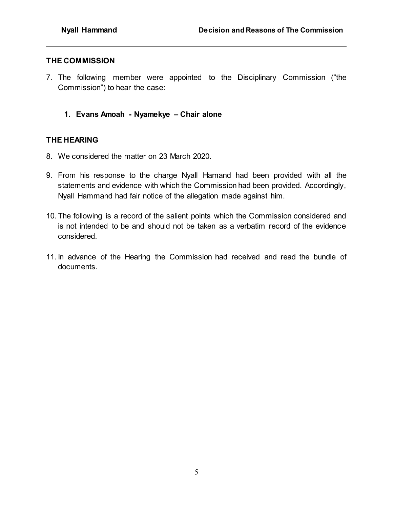### **THE COMMISSION**

- 7. The following member were appointed to the Disciplinary Commission ("the Commission") to hear the case:
	- **1. Evans Amoah - Nyamekye – Chair alone**

### **THE HEARING**

- 8. We considered the matter on 23 March 2020.
- 9. From his response to the charge Nyall Hamand had been provided with all the statements and evidence with which the Commission had been provided. Accordingly, Nyall Hammand had fair notice of the allegation made against him.
- 10. The following is a record of the salient points which the Commission considered and is not intended to be and should not be taken as a verbatim record of the evidence considered.
- 11. In advance of the Hearing the Commission had received and read the bundle of documents.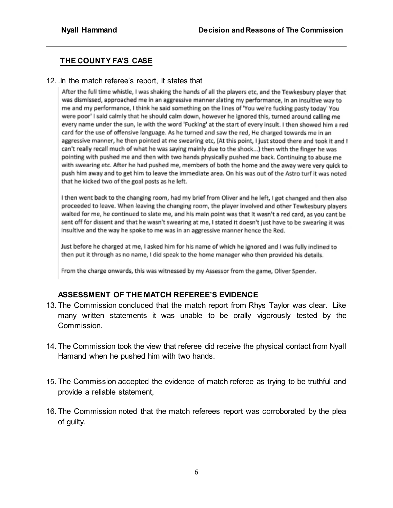# **THE COUNTY FA'S CASE**

#### 12. .In the match referee's report, it states that

After the full time whistle, I was shaking the hands of all the players etc, and the Tewkesbury player that was dismissed, approached me in an aggressive manner slating my performance, in an insultive way to me and my performance, I think he said something on the lines of 'You we're fucking pasty today' You were poor' I said calmly that he should calm down, however he ignored this, turned around calling me every name under the sun, le with the word 'Fucking' at the start of every insult. I then showed him a red card for the use of offensive language. As he turned and saw the red, He charged towards me in an aggressive manner, he then pointed at me swearing etc, (At this point, I just stood there and took it and I can't really recall much of what he was saying mainly due to the shock...) then with the finger he was pointing with pushed me and then with two hands physically pushed me back. Continuing to abuse me with swearing etc. After he had pushed me, members of both the home and the away were very quick to push him away and to get him to leave the immediate area. On his was out of the Astro turf it was noted that he kicked two of the goal posts as he left.

I then went back to the changing room, had my brief from Oliver and he left, I got changed and then also proceeded to leave. When leaving the changing room, the player involved and other Tewkesbury players waited for me, he continued to slate me, and his main point was that it wasn't a red card, as you cant be sent off for dissent and that he wasn't swearing at me, I stated it doesn't just have to be swearing it was insultive and the way he spoke to me was in an aggressive manner hence the Red.

Just before he charged at me, I asked him for his name of which he ignored and I was fully inclined to then put it through as no name, I did speak to the home manager who then provided his details.

From the charge onwards, this was witnessed by my Assessor from the game, Oliver Spender.

### **ASSESSMENT OF THE MATCH REFEREE'S EVIDENCE**

- 13. The Commission concluded that the match report from Rhys Taylor was clear. Like many written statements it was unable to be orally vigorously tested by the Commission.
- 14. The Commission took the view that referee did receive the physical contact from Nyall Hamand when he pushed him with two hands.
- 15. The Commission accepted the evidence of match referee as trying to be truthful and provide a reliable statement,
- 16. The Commission noted that the match referees report was corroborated by the plea of guilty.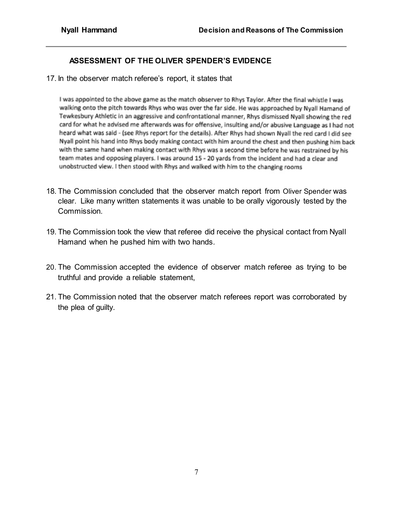# **ASSESSMENT OF THE OLIVER SPENDER'S EVIDENCE**

17. In the observer match referee's report, it states that

I was appointed to the above game as the match observer to Rhys Taylor. After the final whistle I was walking onto the pitch towards Rhys who was over the far side. He was approached by Nyall Hamand of Tewkesbury Athletic in an aggressive and confrontational manner, Rhys dismissed Nyall showing the red card for what he advised me afterwards was for offensive, insulting and/or abusive Language as I had not heard what was said - (see Rhys report for the details). After Rhys had shown Nyall the red card I did see Nyall point his hand into Rhys body making contact with him around the chest and then pushing him back with the same hand when making contact with Rhys was a second time before he was restrained by his team mates and opposing players. I was around 15 - 20 yards from the incident and had a clear and unobstructed view. I then stood with Rhys and walked with him to the changing rooms

- 18. The Commission concluded that the observer match report from Oliver Spender was clear. Like many written statements it was unable to be orally vigorously tested by the Commission.
- 19. The Commission took the view that referee did receive the physical contact from Nyall Hamand when he pushed him with two hands.
- 20. The Commission accepted the evidence of observer match referee as trying to be truthful and provide a reliable statement,
- 21. The Commission noted that the observer match referees report was corroborated by the plea of guilty.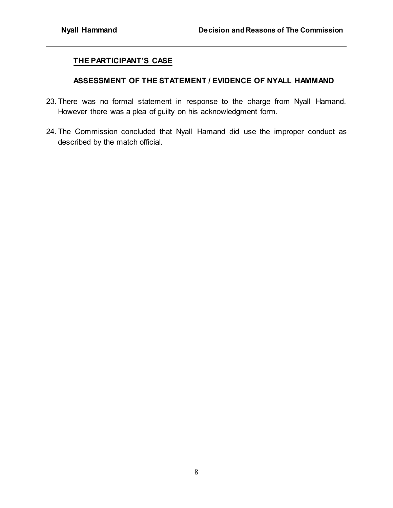## **THE PARTICIPANT'S CASE**

#### **ASSESSMENT OF THE STATEMENT / EVIDENCE OF NYALL HAMMAND**

- 23. There was no formal statement in response to the charge from Nyall Hamand. However there was a plea of guilty on his acknowledgment form.
- 24. The Commission concluded that Nyall Hamand did use the improper conduct as described by the match official.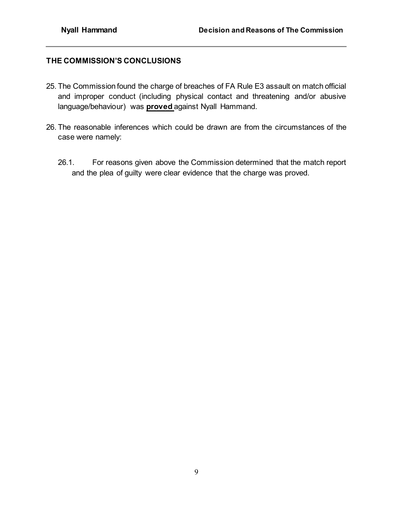## **THE COMMISSION'S CONCLUSIONS**

- 25. The Commission found the charge of breaches of FA Rule E3 assault on match official and improper conduct (including physical contact and threatening and/or abusive language/behaviour) was **proved** against Nyall Hammand.
- 26. The reasonable inferences which could be drawn are from the circumstances of the case were namely:
	- 26.1. For reasons given above the Commission determined that the match report and the plea of guilty were clear evidence that the charge was proved.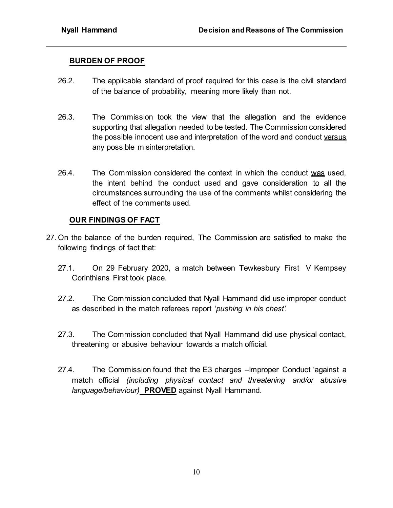### **BURDEN OF PROOF**

- 26.2. The applicable standard of proof required for this case is the civil standard of the balance of probability, meaning more likely than not.
- 26.3. The Commission took the view that the allegation and the evidence supporting that allegation needed to be tested. The Commission considered the possible innocent use and interpretation of the word and conduct versus any possible misinterpretation.
- 26.4. The Commission considered the context in which the conduct was used, the intent behind the conduct used and gave consideration  $\mathbf{to}$  all the circumstances surrounding the use of the comments whilst considering the effect of the comments used.

### **OUR FINDINGS OF FACT**

- 27. On the balance of the burden required, The Commission are satisfied to make the following findings of fact that:
	- 27.1. On 29 February 2020, a match between Tewkesbury First V Kempsey Corinthians First took place.
	- 27.2. The Commission concluded that Nyall Hammand did use improper conduct as described in the match referees report '*pushing in his chest'.*
	- 27.3. The Commission concluded that Nyall Hammand did use physical contact, threatening or abusive behaviour towards a match official.
	- 27.4. The Commission found that the E3 charges –Improper Conduct 'against a match official *(including physical contact and threatening and/or abusive language/behaviour)* **PROVED** against Nyall Hammand.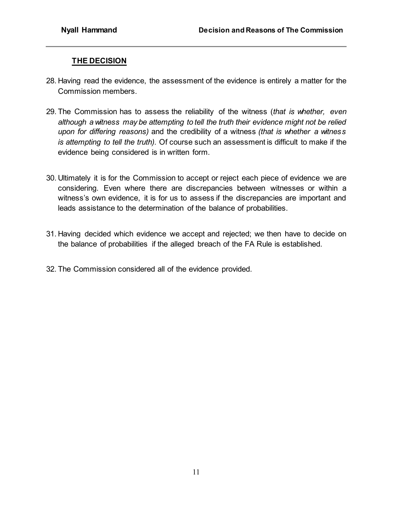# **THE DECISION**

- 28. Having read the evidence, the assessment of the evidence is entirely a matter for the Commission members.
- 29. The Commission has to assess the reliability of the witness (*that is whether, even although a witness may be attempting to tell the truth their evidence might not be relied upon for differing reasons)* and the credibility of a witness *(that is whether a witness is attempting to tell the truth).* Of course such an assessment is difficult to make if the evidence being considered is in written form.
- 30. Ultimately it is for the Commission to accept or reject each piece of evidence we are considering. Even where there are discrepancies between witnesses or within a witness's own evidence, it is for us to assess if the discrepancies are important and leads assistance to the determination of the balance of probabilities.
- 31. Having decided which evidence we accept and rejected; we then have to decide on the balance of probabilities if the alleged breach of the FA Rule is established.
- 32. The Commission considered all of the evidence provided.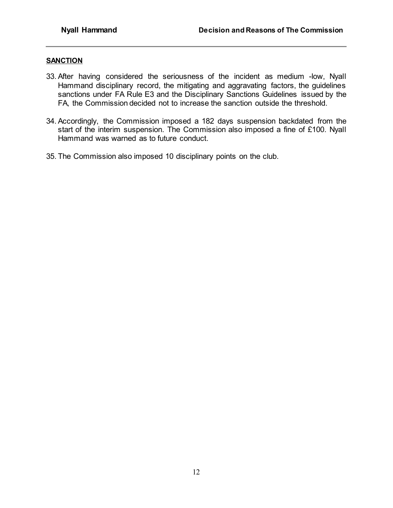#### **SANCTION**

- 33. After having considered the seriousness of the incident as medium -low, Nyall Hammand disciplinary record, the mitigating and aggravating factors, the guidelines sanctions under FA Rule E3 and the Disciplinary Sanctions Guidelines issued by the FA, the Commission decided not to increase the sanction outside the threshold.
- 34. Accordingly, the Commission imposed a 182 days suspension backdated from the start of the interim suspension. The Commission also imposed a fine of £100. Nyall Hammand was warned as to future conduct.
- 35. The Commission also imposed 10 disciplinary points on the club.